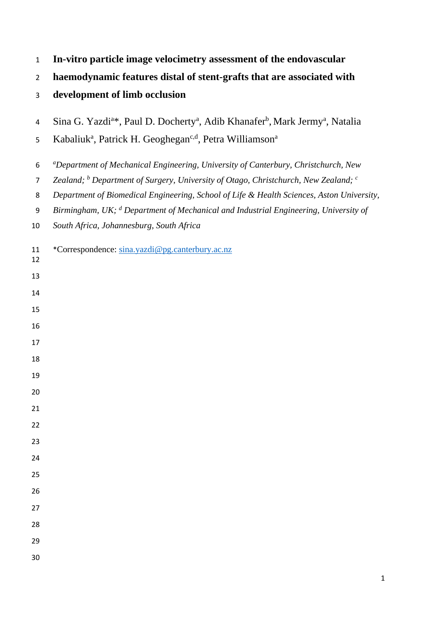| $\mathbf{1}$   | In-vitro particle image velocimetry assessment of the endovascular                                                           |
|----------------|------------------------------------------------------------------------------------------------------------------------------|
| $\overline{2}$ | haemodynamic features distal of stent-grafts that are associated with                                                        |
| 3              | development of limb occlusion                                                                                                |
| 4              | Sina G. Yazdi <sup>a*</sup> , Paul D. Docherty <sup>a</sup> , Adib Khanafer <sup>b</sup> , Mark Jermy <sup>a</sup> , Natalia |
| 5              | Kabaliuk <sup>a</sup> , Patrick H. Geoghegan <sup>c,d</sup> , Petra Williamson <sup>a</sup>                                  |
| 6              | <i>aDepartment of Mechanical Engineering, University of Canterbury, Christchurch, New</i>                                    |
| $\overline{7}$ | Zealand; $^b$ Department of Surgery, University of Otago, Christchurch, New Zealand; $^c$                                    |
| 8              | Department of Biomedical Engineering, School of Life & Health Sciences, Aston University,                                    |
| 9              | Birmingham, UK; <sup>d</sup> Department of Mechanical and Industrial Engineering, University of                              |
| 10             | South Africa, Johannesburg, South Africa                                                                                     |
| 11<br>12       | *Correspondence: sina.yazdi@pg.canterbury.ac.nz                                                                              |
| 13             |                                                                                                                              |
| 14             |                                                                                                                              |
| 15             |                                                                                                                              |
| 16             |                                                                                                                              |
| 17             |                                                                                                                              |
| 18             |                                                                                                                              |
| 19             |                                                                                                                              |
| 20             |                                                                                                                              |
| 21             |                                                                                                                              |
| 22             |                                                                                                                              |
| 23             |                                                                                                                              |
| 24             |                                                                                                                              |
| 25             |                                                                                                                              |
| 26             |                                                                                                                              |
| 27             |                                                                                                                              |
| 28             |                                                                                                                              |
| 29             |                                                                                                                              |
| 30             |                                                                                                                              |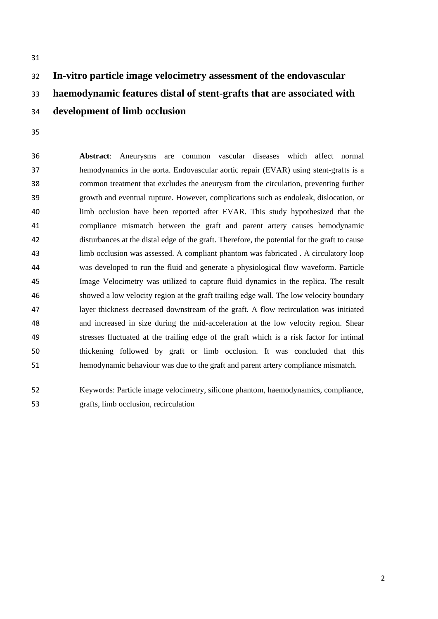# **In-vitro particle image velocimetry assessment of the endovascular haemodynamic features distal of stent-grafts that are associated with development of limb occlusion**

 **Abstract**: Aneurysms are common vascular diseases which affect normal hemodynamics in the aorta. Endovascular aortic repair (EVAR) using stent-grafts is a common treatment that excludes the aneurysm from the circulation, preventing further growth and eventual rupture. However, complications such as endoleak, dislocation, or limb occlusion have been reported after EVAR. This study hypothesized that the compliance mismatch between the graft and parent artery causes hemodynamic disturbances at the distal edge of the graft. Therefore, the potential for the graft to cause limb occlusion was assessed. A compliant phantom was fabricated . A circulatory loop was developed to run the fluid and generate a physiological flow waveform. Particle Image Velocimetry was utilized to capture fluid dynamics in the replica. The result showed a low velocity region at the graft trailing edge wall. The low velocity boundary layer thickness decreased downstream of the graft. A flow recirculation was initiated and increased in size during the mid-acceleration at the low velocity region. Shear stresses fluctuated at the trailing edge of the graft which is a risk factor for intimal thickening followed by graft or limb occlusion. It was concluded that this hemodynamic behaviour was due to the graft and parent artery compliance mismatch.

 Keywords: Particle image velocimetry, silicone phantom, haemodynamics, compliance, grafts, limb occlusion, recirculation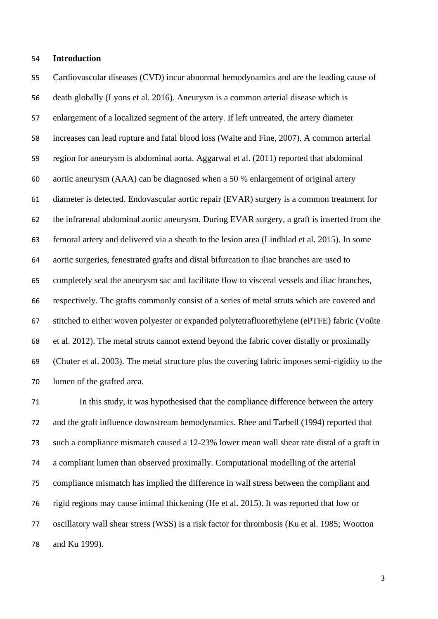### **Introduction**

 Cardiovascular diseases (CVD) incur abnormal hemodynamics and are the leading cause of death globally (Lyons et al. 2016). Aneurysm is a common arterial disease which is enlargement of a localized segment of the artery. If left untreated, the artery diameter increases can lead rupture and fatal blood loss (Waite and Fine, 2007). A common arterial region for aneurysm is abdominal aorta. Aggarwal et al. (2011) reported that abdominal aortic aneurysm (AAA) can be diagnosed when a 50 % enlargement of original artery diameter is detected. Endovascular aortic repair (EVAR) surgery is a common treatment for the infrarenal abdominal aortic aneurysm. During EVAR surgery, a graft is inserted from the femoral artery and delivered via a sheath to the lesion area (Lindblad et al. 2015). In some aortic surgeries, fenestrated grafts and distal bifurcation to iliac branches are used to completely seal the aneurysm sac and facilitate flow to visceral vessels and iliac branches, respectively. The grafts commonly consist of a series of metal struts which are covered and stitched to either woven polyester or expanded [polytetrafluorethylene](https://www.sciencedirect.com/topics/medicine-and-dentistry/politef) (ePTFE) fabric (Voûte et al. 2012). The metal struts cannot extend beyond the fabric cover distally or proximally (Chuter et al. 2003). The metal structure plus the covering fabric imposes semi-rigidity to the lumen of the grafted area.

 In this study, it was hypothesised that the compliance difference between the artery and the graft influence downstream hemodynamics. Rhee and Tarbell (1994) reported that such a compliance mismatch caused a 12-23% lower mean wall shear rate distal of a graft in a compliant lumen than observed proximally. Computational modelling of the arterial compliance mismatch has implied the difference in wall stress between the compliant and rigid regions may cause intimal thickening (He et al. 2015). It was reported that low or oscillatory wall shear stress (WSS) is a risk factor for thrombosis (Ku et al. 1985; Wootton and Ku 1999).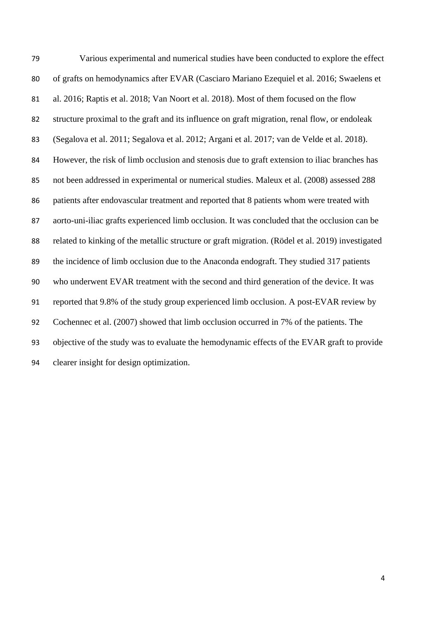Various experimental and numerical studies have been conducted to explore the effect of grafts on hemodynamics after EVAR (Casciaro Mariano Ezequiel et al. 2016; Swaelens et al. 2016; Raptis et al. 2018; Van Noort et al. 2018). Most of them focused on the flow structure proximal to the graft and its influence on graft migration, renal flow, or endoleak (Segalova et al. 2011; Segalova et al. 2012; Argani et al. 2017; van de Velde et al. 2018). However, the risk of limb occlusion and stenosis due to graft extension to iliac branches has not been addressed in experimental or numerical studies. Maleux et al. (2008) assessed 288 patients after endovascular treatment and reported that 8 patients whom were treated with aorto-uni-iliac grafts experienced limb occlusion. It was concluded that the occlusion can be related to kinking of the metallic structure or graft migration. (Rödel et al. 2019) investigated the incidence of limb occlusion due to the Anaconda endograft. They studied 317 patients who underwent EVAR treatment with the second and third generation of the device. It was reported that 9.8% of the study group experienced limb occlusion. A post-EVAR review by Cochennec et al. (2007) showed that limb occlusion occurred in 7% of the patients. The objective of the study was to evaluate the hemodynamic effects of the EVAR graft to provide clearer insight for design optimization.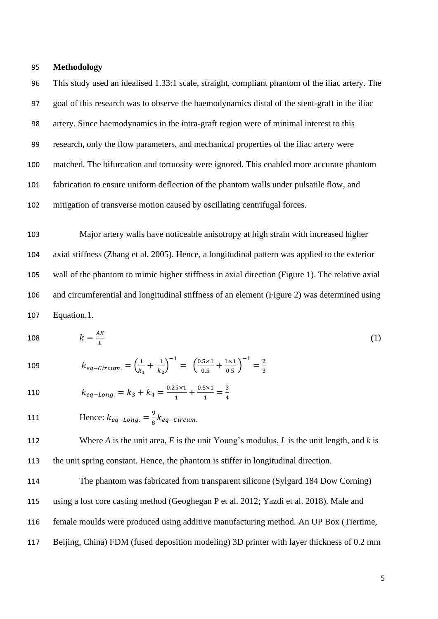#### 95 **Methodology**

 This study used an idealised 1.33:1 scale, straight, compliant phantom of the iliac artery. The goal of this research was to observe the haemodynamics distal of the stent-graft in the iliac artery. Since haemodynamics in the intra-graft region were of minimal interest to this research, only the flow parameters, and mechanical properties of the iliac artery were matched. The bifurcation and tortuosity were ignored. This enabled more accurate phantom fabrication to ensure uniform deflection of the phantom walls under pulsatile flow, and mitigation of transverse motion caused by oscillating centrifugal forces.

 Major artery walls have noticeable anisotropy at high strain with increased higher axial stiffness (Zhang et al. 2005). Hence, a longitudinal pattern was applied to the exterior wall of the phantom to mimic higher stiffness in axial direction (Figure 1). The relative axial and circumferential and longitudinal stiffness of an element (Figure 2) was determined using Equation.1.

$$
108 \t k = \frac{AE}{L} \t (1)
$$

109 
$$
k_{eq-circum.} = \left(\frac{1}{k_1} + \frac{1}{k_2}\right)^{-1} = \left(\frac{0.5 \times 1}{0.5} + \frac{1 \times 1}{0.5}\right)^{-1} = \frac{2}{3}
$$

- $k_{eq-Long.} = k_3 + k_4 = \frac{0.25 \times 1}{1}$  $\frac{5 \times 1}{1} + \frac{0.5 \times 1}{1}$  $\frac{5 \times 1}{1} = \frac{3}{4}$ 4 110
- Hence:  $k_{eq-Long.} = \frac{9}{8}$ 111 Hence:  $k_{eq-Long.} = \frac{3}{8} k_{eq-Circum.}$

112 Where *A* is the unit area, *E* is the unit Young's modulus, *L* is the unit length, and *k* is 113 the unit spring constant. Hence, the phantom is stiffer in longitudinal direction.

 The phantom was fabricated from transparent silicone (Sylgard 184 Dow Corning) using a lost core casting method (Geoghegan P et al. 2012; Yazdi et al. 2018). Male and female moulds were produced using additive manufacturing method. An UP Box (Tiertime, Beijing, China) FDM (fused deposition modeling) 3D printer with layer thickness of 0.2 mm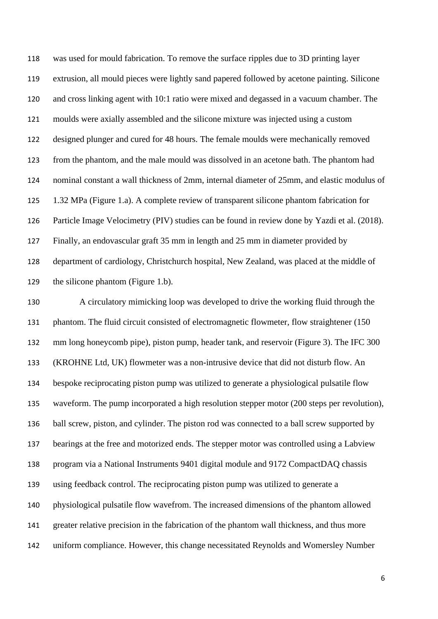was used for mould fabrication. To remove the surface ripples due to 3D printing layer extrusion, all mould pieces were lightly sand papered followed by acetone painting. Silicone and cross linking agent with 10:1 ratio were mixed and degassed in a vacuum chamber. The moulds were axially assembled and the silicone mixture was injected using a custom designed plunger and cured for 48 hours. The female moulds were mechanically removed from the phantom, and the male mould was dissolved in an acetone bath. The phantom had nominal constant a wall thickness of 2mm, internal diameter of 25mm, and elastic modulus of 1.32 MPa (Figure 1.a). A complete review of transparent silicone phantom fabrication for Particle Image Velocimetry (PIV) studies can be found in review done by Yazdi et al. (2018). Finally, an endovascular graft 35 mm in length and 25 mm in diameter provided by department of cardiology, Christchurch hospital, New Zealand, was placed at the middle of the silicone phantom (Figure 1.b).

 A circulatory mimicking loop was developed to drive the working fluid through the phantom. The fluid circuit consisted of electromagnetic flowmeter, flow straightener (150 mm long honeycomb pipe), piston pump, header tank, and reservoir (Figure 3). The IFC 300 (KROHNE Ltd, UK) flowmeter was a non-intrusive device that did not disturb flow. An bespoke reciprocating piston pump was utilized to generate a physiological pulsatile flow waveform. The pump incorporated a high resolution stepper motor (200 steps per revolution), ball screw, piston, and cylinder. The piston rod was connected to a ball screw supported by bearings at the free and motorized ends. The stepper motor was controlled using a Labview program via a National Instruments 9401 digital module and 9172 CompactDAQ chassis using feedback control. The reciprocating piston pump was utilized to generate a physiological pulsatile flow wavefrom. The increased dimensions of the phantom allowed greater relative precision in the fabrication of the phantom wall thickness, and thus more uniform compliance. However, this change necessitated Reynolds and Womersley Number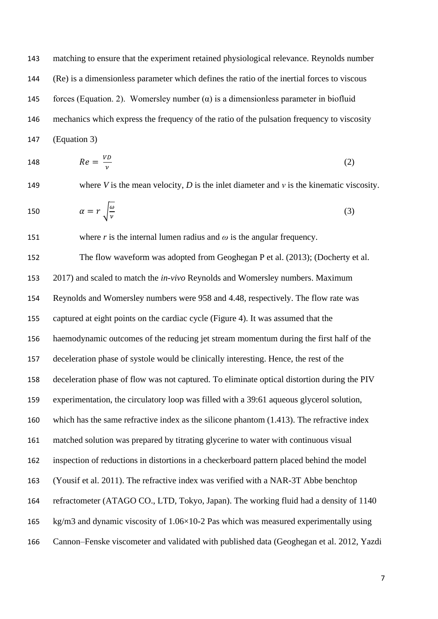matching to ensure that the experiment retained physiological relevance. Reynolds number (Re) is a dimensionless parameter which defines the ratio of the inertial forces to viscous 145 forces (Equation. 2). Womersley number  $(\alpha)$  is a dimensionless parameter in biofluid mechanics which express the frequency of the ratio of the pulsation frequency to viscosity (Equation 3)

$$
Re = \frac{VD}{\nu} \tag{2}
$$

149 where *V* is the mean velocity, *D* is the inlet diameter and *v* is the kinematic viscosity.

$$
\alpha = r \sqrt{\frac{\omega}{\nu}} \tag{3}
$$

151 where *r* is the internal lumen radius and  $\omega$  is the angular frequency.

 The flow waveform was adopted from Geoghegan P et al. (2013); (Docherty et al. 2017) and scaled to match the *in-vivo* Reynolds and Womersley numbers. Maximum Reynolds and Womersley numbers were 958 and 4.48, respectively. The flow rate was captured at eight points on the cardiac cycle (Figure 4). It was assumed that the haemodynamic outcomes of the reducing jet stream momentum during the first half of the deceleration phase of systole would be clinically interesting. Hence, the rest of the deceleration phase of flow was not captured. To eliminate optical distortion during the PIV experimentation, the circulatory loop was filled with a 39:61 aqueous glycerol solution, which has the same refractive index as the silicone phantom (1.413). The refractive index matched solution was prepared by titrating glycerine to water with continuous visual inspection of reductions in distortions in a checkerboard pattern placed behind the model (Yousif et al. 2011). The refractive index was verified with a NAR-3T Abbe benchtop refractometer (ATAGO CO., LTD, Tokyo, Japan). The working fluid had a density of 1140 kg/m3 and dynamic viscosity of 1.06×10-2 Pas which was measured experimentally using Cannon–Fenske viscometer and validated with published data (Geoghegan et al. 2012, Yazdi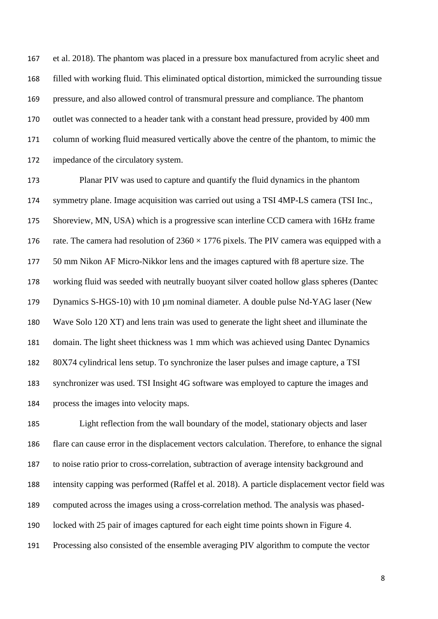et al. 2018). The phantom was placed in a pressure box manufactured from acrylic sheet and filled with working fluid. This eliminated optical distortion, mimicked the surrounding tissue pressure, and also allowed control of transmural pressure and compliance. The phantom outlet was connected to a header tank with a constant head pressure, provided by 400 mm column of working fluid measured vertically above the centre of the phantom, to mimic the impedance of the circulatory system.

 Planar PIV was used to capture and quantify the fluid dynamics in the phantom symmetry plane. Image acquisition was carried out using a TSI 4MP-LS camera (TSI Inc., Shoreview, MN, USA) which is a progressive scan interline CCD camera with 16Hz frame 176 rate. The camera had resolution of  $2360 \times 1776$  pixels. The PIV camera was equipped with a 50 mm Nikon AF Micro-Nikkor lens and the images captured with f8 aperture size. The working fluid was seeded with neutrally buoyant silver coated hollow glass spheres (Dantec 179 Dynamics S-HGS-10) with 10 µm nominal diameter. A double pulse Nd-YAG laser (New Wave Solo 120 XT) and lens train was used to generate the light sheet and illuminate the domain. The light sheet thickness was 1 mm which was achieved using Dantec Dynamics 80X74 cylindrical lens setup. To synchronize the laser pulses and image capture, a TSI synchronizer was used. TSI Insight 4G software was employed to capture the images and process the images into velocity maps.

 Light reflection from the wall boundary of the model, stationary objects and laser flare can cause error in the displacement vectors calculation. Therefore, to enhance the signal to noise ratio prior to cross-correlation, subtraction of average intensity background and intensity capping was performed (Raffel et al. 2018). A particle displacement vector field was computed across the images using a cross-correlation method. The analysis was phased- locked with 25 pair of images captured for each eight time points shown in Figure 4. Processing also consisted of the ensemble averaging PIV algorithm to compute the vector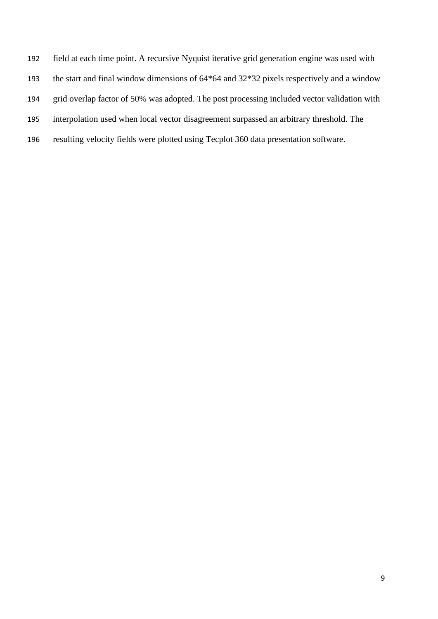- field at each time point. A recursive Nyquist iterative grid generation engine was used with
- the start and final window dimensions of 64\*64 and 32\*32 pixels respectively and a window
- grid overlap factor of 50% was adopted. The post processing included vector validation with
- interpolation used when local vector disagreement surpassed an arbitrary threshold. The
- resulting velocity fields were plotted using Tecplot 360 data presentation software.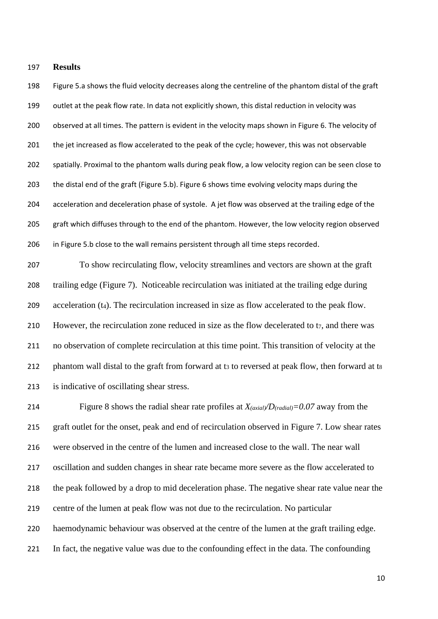#### **Results**

 Figure 5.a shows the fluid velocity decreases along the centreline of the phantom distal of the graft outlet at the peak flow rate. In data not explicitly shown, this distal reduction in velocity was observed at all times. The pattern is evident in the velocity maps shown in Figure 6. The velocity of 201 the jet increased as flow accelerated to the peak of the cycle; however, this was not observable spatially. Proximal to the phantom walls during peak flow, a low velocity region can be seen close to the distal end of the graft (Figure 5.b). Figure 6 shows time evolving velocity maps during the acceleration and deceleration phase of systole. A jet flow was observed at the trailing edge of the 205 graft which diffuses through to the end of the phantom. However, the low velocity region observed in Figure 5.b close to the wall remains persistent through all time steps recorded.

 To show recirculating flow, velocity streamlines and vectors are shown at the graft trailing edge (Figure 7). Noticeable recirculation was initiated at the trailing edge during 209 acceleration  $(t_4)$ . The recirculation increased in size as flow accelerated to the peak flow. 210 However, the recirculation zone reduced in size as the flow decelerated to t<sub>7</sub>, and there was no observation of complete recirculation at this time point. This transition of velocity at the 212 phantom wall distal to the graft from forward at t<sub>3</sub> to reversed at peak flow, then forward at t<sub>8</sub> is indicative of oscillating shear stress.

 Figure 8 shows the radial shear rate profiles at *X(axial)/D(radial)=0.07* away from the graft outlet for the onset, peak and end of recirculation observed in Figure 7. Low shear rates were observed in the centre of the lumen and increased close to the wall. The near wall oscillation and sudden changes in shear rate became more severe as the flow accelerated to the peak followed by a drop to mid deceleration phase. The negative shear rate value near the centre of the lumen at peak flow was not due to the recirculation. No particular haemodynamic behaviour was observed at the centre of the lumen at the graft trailing edge. In fact, the negative value was due to the confounding effect in the data. The confounding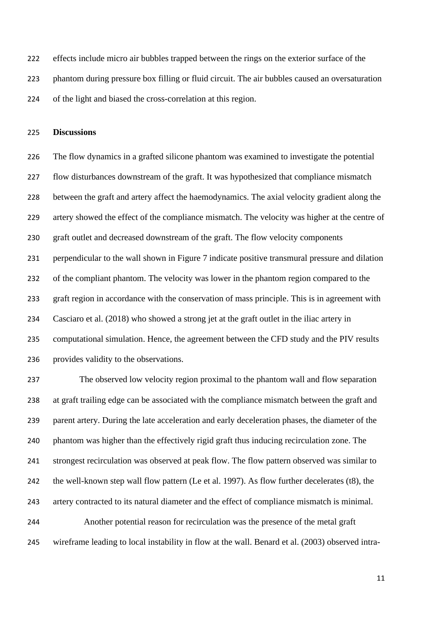effects include micro air bubbles trapped between the rings on the exterior surface of the

phantom during pressure box filling or fluid circuit. The air bubbles caused an oversaturation

of the light and biased the cross-correlation at this region.

#### **Discussions**

 The flow dynamics in a grafted silicone phantom was examined to investigate the potential flow disturbances downstream of the graft. It was hypothesized that compliance mismatch between the graft and artery affect the haemodynamics. The axial velocity gradient along the artery showed the effect of the compliance mismatch. The velocity was higher at the centre of graft outlet and decreased downstream of the graft. The flow velocity components perpendicular to the wall shown in Figure 7 indicate positive transmural pressure and dilation of the compliant phantom. The velocity was lower in the phantom region compared to the graft region in accordance with the conservation of mass principle. This is in agreement with Casciaro et al. (2018) who showed a strong jet at the graft outlet in the iliac artery in computational simulation. Hence, the agreement between the CFD study and the PIV results provides validity to the observations.

 The observed low velocity region proximal to the phantom wall and flow separation at graft trailing edge can be associated with the compliance mismatch between the graft and parent artery. During the late acceleration and early deceleration phases, the diameter of the phantom was higher than the effectively rigid graft thus inducing recirculation zone. The strongest recirculation was observed at peak flow. The flow pattern observed was similar to the well-known step wall flow pattern (Le et al. 1997). As flow further decelerates (t8), the artery contracted to its natural diameter and the effect of compliance mismatch is minimal. Another potential reason for recirculation was the presence of the metal graft wireframe leading to local instability in flow at the wall. Benard et al. (2003) observed intra-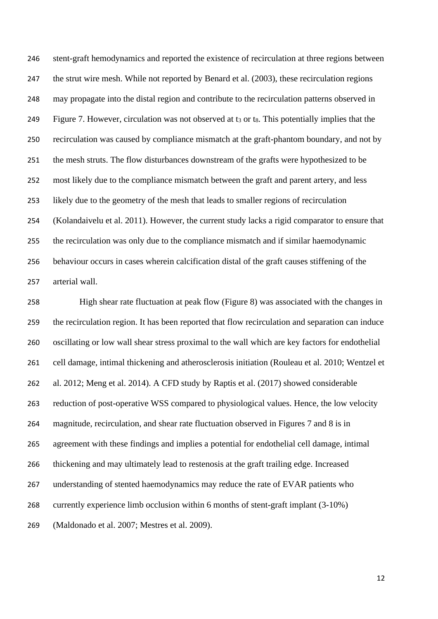stent-graft hemodynamics and reported the existence of recirculation at three regions between 247 the strut wire mesh. While not reported by Benard et al. (2003), these recirculation regions may propagate into the distal region and contribute to the recirculation patterns observed in 249 Figure 7. However, circulation was not observed at t<sub>3</sub> or t<sub>8</sub>. This potentially implies that the recirculation was caused by compliance mismatch at the graft-phantom boundary, and not by the mesh struts. The flow disturbances downstream of the grafts were hypothesized to be most likely due to the compliance mismatch between the graft and parent artery, and less likely due to the geometry of the mesh that leads to smaller regions of recirculation (Kolandaivelu et al. 2011). However, the current study lacks a rigid comparator to ensure that the recirculation was only due to the compliance mismatch and if similar haemodynamic behaviour occurs in cases wherein calcification distal of the graft causes stiffening of the arterial wall.

 High shear rate fluctuation at peak flow (Figure 8) was associated with the changes in the recirculation region. It has been reported that flow recirculation and separation can induce oscillating or low wall shear stress proximal to the wall which are key factors for endothelial cell damage, intimal thickening and atherosclerosis initiation (Rouleau et al. 2010; Wentzel et al. 2012; Meng et al. 2014). A CFD study by Raptis et al. (2017) showed considerable reduction of post-operative WSS compared to physiological values. Hence, the low velocity magnitude, recirculation, and shear rate fluctuation observed in Figures 7 and 8 is in agreement with these findings and implies a potential for endothelial cell damage, intimal thickening and may ultimately lead to restenosis at the graft trailing edge. Increased understanding of stented haemodynamics may reduce the rate of EVAR patients who currently experience limb occlusion within 6 months of stent-graft implant (3-10%) (Maldonado et al. 2007; Mestres et al. 2009).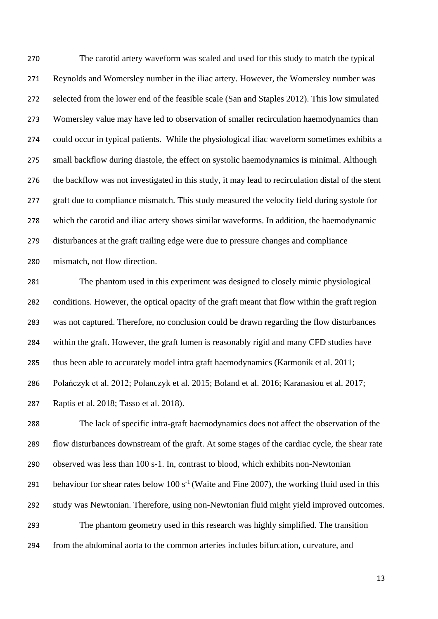The carotid artery waveform was scaled and used for this study to match the typical Reynolds and Womersley number in the iliac artery. However, the Womersley number was selected from the lower end of the feasible scale (San and Staples 2012). This low simulated Womersley value may have led to observation of smaller recirculation haemodynamics than could occur in typical patients. While the physiological iliac waveform sometimes exhibits a small backflow during diastole, the effect on systolic haemodynamics is minimal. Although the backflow was not investigated in this study, it may lead to recirculation distal of the stent graft due to compliance mismatch. This study measured the velocity field during systole for which the carotid and iliac artery shows similar waveforms. In addition, the haemodynamic disturbances at the graft trailing edge were due to pressure changes and compliance mismatch, not flow direction.

 The phantom used in this experiment was designed to closely mimic physiological conditions. However, the optical opacity of the graft meant that flow within the graft region was not captured. Therefore, no conclusion could be drawn regarding the flow disturbances within the graft. However, the graft lumen is reasonably rigid and many CFD studies have thus been able to accurately model intra graft haemodynamics (Karmonik et al. 2011; Polańczyk et al. 2012; Polanczyk et al. 2015; Boland et al. 2016; Karanasiou et al. 2017; Raptis et al. 2018; Tasso et al. 2018).

 The lack of specific intra-graft haemodynamics does not affect the observation of the flow disturbances downstream of the graft. At some stages of the cardiac cycle, the shear rate observed was less than 100 s-1. In, contrast to blood, which exhibits non-Newtonian 291 behaviour for shear rates below  $100 s<sup>-1</sup>$  (Waite and Fine 2007), the working fluid used in this study was Newtonian. Therefore, using non-Newtonian fluid might yield improved outcomes. The phantom geometry used in this research was highly simplified. The transition from the abdominal aorta to the common arteries includes bifurcation, curvature, and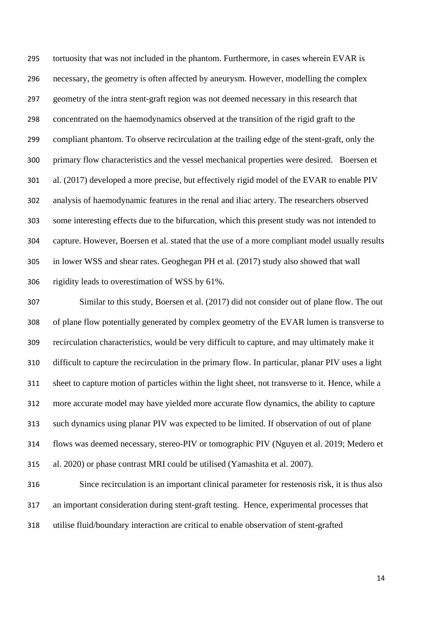tortuosity that was not included in the phantom. Furthermore, in cases wherein EVAR is necessary, the geometry is often affected by aneurysm. However, modelling the complex geometry of the intra stent-graft region was not deemed necessary in this research that concentrated on the haemodynamics observed at the transition of the rigid graft to the compliant phantom. To observe recirculation at the trailing edge of the stent-graft, only the primary flow characteristics and the vessel mechanical properties were desired. Boersen et al. (2017) developed a more precise, but effectively rigid model of the EVAR to enable PIV analysis of haemodynamic features in the renal and iliac artery. The researchers observed some interesting effects due to the bifurcation, which this present study was not intended to capture. However, Boersen et al. stated that the use of a more compliant model usually results in lower WSS and shear rates. Geoghegan PH et al. (2017) study also showed that wall rigidity leads to overestimation of WSS by 61%.

 Similar to this study, Boersen et al. (2017) did not consider out of plane flow. The out of plane flow potentially generated by complex geometry of the EVAR lumen is transverse to recirculation characteristics, would be very difficult to capture, and may ultimately make it difficult to capture the recirculation in the primary flow. In particular, planar PIV uses a light sheet to capture motion of particles within the light sheet, not transverse to it. Hence, while a more accurate model may have yielded more accurate flow dynamics, the ability to capture such dynamics using planar PIV was expected to be limited. If observation of out of plane flows was deemed necessary, stereo-PIV or tomographic PIV (Nguyen et al. 2019; Medero et al. 2020) or phase contrast MRI could be utilised (Yamashita et al. 2007).

 Since recirculation is an important clinical parameter for restenosis risk, it is thus also an important consideration during stent-graft testing. Hence, experimental processes that utilise fluid/boundary interaction are critical to enable observation of stent-grafted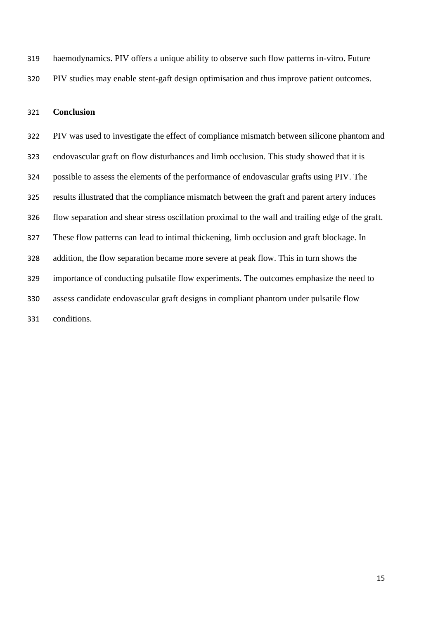haemodynamics. PIV offers a unique ability to observe such flow patterns in-vitro. Future PIV studies may enable stent-gaft design optimisation and thus improve patient outcomes.

#### **Conclusion**

 PIV was used to investigate the effect of compliance mismatch between silicone phantom and endovascular graft on flow disturbances and limb occlusion. This study showed that it is possible to assess the elements of the performance of endovascular grafts using PIV. The results illustrated that the compliance mismatch between the graft and parent artery induces flow separation and shear stress oscillation proximal to the wall and trailing edge of the graft. These flow patterns can lead to intimal thickening, limb occlusion and graft blockage. In addition, the flow separation became more severe at peak flow. This in turn shows the importance of conducting pulsatile flow experiments. The outcomes emphasize the need to assess candidate endovascular graft designs in compliant phantom under pulsatile flow conditions.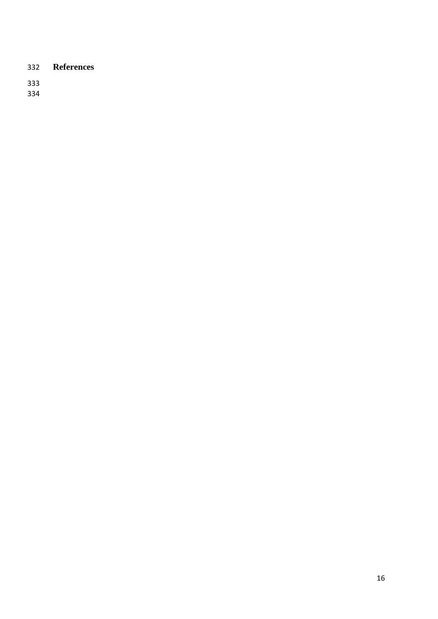## **References**